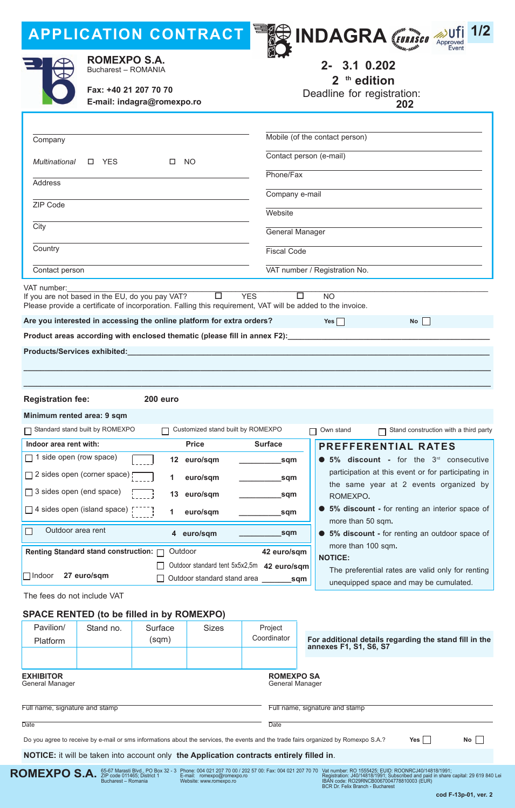# **APPLICATION CONTRACT**







**ROMEXPO S.A.** Bucharest – ROmANIA

**Fax: +40 21 207 70 70 E-mail: indagra@romexpo.ro** **26- )30.10.202 @ 2 Eth edition**

Deadline for registration:

 $: 9^z$  Jun 202 @

| Company                                            |                                 |                                                                                                                          |                                   |                                                                           | Mobile (of the contact person)                                                                                                                        |  |
|----------------------------------------------------|---------------------------------|--------------------------------------------------------------------------------------------------------------------------|-----------------------------------|---------------------------------------------------------------------------|-------------------------------------------------------------------------------------------------------------------------------------------------------|--|
| <b>NO</b><br>Multinational<br>$\square$ YES<br>□   |                                 |                                                                                                                          |                                   | Contact person (e-mail)                                                   |                                                                                                                                                       |  |
|                                                    |                                 |                                                                                                                          |                                   | Phone/Fax                                                                 |                                                                                                                                                       |  |
| <b>Address</b>                                     |                                 |                                                                                                                          |                                   | Company e-mail                                                            |                                                                                                                                                       |  |
| ZIP Code                                           |                                 |                                                                                                                          |                                   | Website                                                                   |                                                                                                                                                       |  |
| City                                               |                                 |                                                                                                                          |                                   |                                                                           |                                                                                                                                                       |  |
|                                                    |                                 |                                                                                                                          |                                   |                                                                           | General Manager                                                                                                                                       |  |
| Country                                            |                                 |                                                                                                                          |                                   | <b>Fiscal Code</b>                                                        |                                                                                                                                                       |  |
| Contact person                                     |                                 |                                                                                                                          |                                   | VAT number / Registration No.                                             |                                                                                                                                                       |  |
| VAT number:                                        |                                 | If you are not based in the EU, do you pay VAT?<br>Are you interested in accessing the online platform for extra orders? | $\Box$                            | <b>YES</b>                                                                | $\Box$<br><b>NO</b><br>Please provide a certificate of incorporation. Falling this requirement, VAT will be added to the invoice.<br>Yes $\Box$<br>No |  |
|                                                    |                                 |                                                                                                                          |                                   | Product areas according with enclosed thematic (please fill in annex F2): |                                                                                                                                                       |  |
|                                                    | Products/Services exhibited:    |                                                                                                                          |                                   |                                                                           |                                                                                                                                                       |  |
|                                                    |                                 |                                                                                                                          |                                   |                                                                           |                                                                                                                                                       |  |
|                                                    |                                 |                                                                                                                          |                                   |                                                                           |                                                                                                                                                       |  |
| <b>Registration fee:</b>                           |                                 | 200 euro                                                                                                                 |                                   |                                                                           |                                                                                                                                                       |  |
|                                                    | Minimum rented area: 9 sqm      |                                                                                                                          |                                   |                                                                           |                                                                                                                                                       |  |
|                                                    | Standard stand built by ROMEXPO |                                                                                                                          | Customized stand built by ROMEXPO |                                                                           | Stand construction with a third party<br>Own stand                                                                                                    |  |
| Indoor area rent with:                             |                                 |                                                                                                                          | <b>Price</b>                      | <b>Surface</b>                                                            | <b>PREFFERENTIAL RATES</b>                                                                                                                            |  |
| $\Box$ 1 side open (row space)                     |                                 |                                                                                                                          | 12 Feuro/sqm                      | _sqm                                                                      | 5% discount - for the $3rd$ consecutive                                                                                                               |  |
| $\Box$ 2 sides open (corner space) [               |                                 |                                                                                                                          | 1 A Auro/sqm                      | _sqm                                                                      | participation at this event or for participating in<br>the same year at 2 events organized by                                                         |  |
| $\Box$ 3 sides open (end space)<br>13 Feuro/sqm    |                                 |                                                                                                                          |                                   | sqm                                                                       | ROMEXPO.                                                                                                                                              |  |
| $\Box$ 4 sides open (island space)<br>1 B Auro/sqm |                                 |                                                                                                                          |                                   | sqm                                                                       | 5% discount - for renting an interior space of                                                                                                        |  |
| $\Box$                                             | Outdoor area rent               |                                                                                                                          | 4 ?euro/sqm                       | _sqm                                                                      | more than 50 sqm.<br>5% discount - for renting an outdoor space of                                                                                    |  |
|                                                    |                                 | Renting Standard stand construction: <b>nation</b>                                                                       |                                   | 42 euro/sqm                                                               | more than 100 sqm.                                                                                                                                    |  |
| $\Box$ Indoor                                      | 27 euro/sqm                     |                                                                                                                          |                                   | Outdoor standard tent 5x5x2,5m 42 euro/sqm                                | <b>NOTICE:</b><br>The preferential rates are valid only for renting                                                                                   |  |
|                                                    |                                 |                                                                                                                          | Outdoor standard stand area       |                                                                           | _sqm<br>unequipped space and may be cumulated.                                                                                                        |  |
| The fees do not include VAT                        |                                 |                                                                                                                          |                                   |                                                                           |                                                                                                                                                       |  |
|                                                    |                                 | <b>SPACE RENTED (to be filled in by ROMEXPO)</b>                                                                         |                                   |                                                                           |                                                                                                                                                       |  |
| Pavilion/                                          | Stand no.                       | Surface                                                                                                                  | <b>Sizes</b>                      | Project                                                                   |                                                                                                                                                       |  |
| Platform                                           |                                 | (sqm)                                                                                                                    |                                   | Coordinator                                                               | For additional details regarding the stand fill in the<br>annexes F1, S1, S6, S7                                                                      |  |
|                                                    |                                 |                                                                                                                          |                                   |                                                                           |                                                                                                                                                       |  |
| <b>EXHIBITOR</b>                                   |                                 |                                                                                                                          |                                   | <b>ROMEXPO SA</b>                                                         |                                                                                                                                                       |  |

**EXHIBITOR** General Manager

Full name, signature and stamp

Full name, signature and stamp

Date

General Manager

**Date** 

Do you agree to receive by e-mail or sms informations about the services, the events and the trade fairs organized by Romexpo S.A.? **Yes No**

**NOTICE:** it will be taken into account only **the Application contracts entirely filled in**.



Phone: 004 021 207 70 00 / 202 57 00: Fax: 004 021 207 70 70 E-mail: romexpo@romexpo.ro Website: www.romexpo.ro

Vat number: RO 1555425; EUID: ROONRCJ40/14818/1991;<br>Registration: J40/14818/1991; Subscribed and paid in share capital: 29 619 840 Lei<br>IBAN code: RO29RNCB0067004778810003 (EUR)<br>BCR Dr. Felix Branch - Bucharest